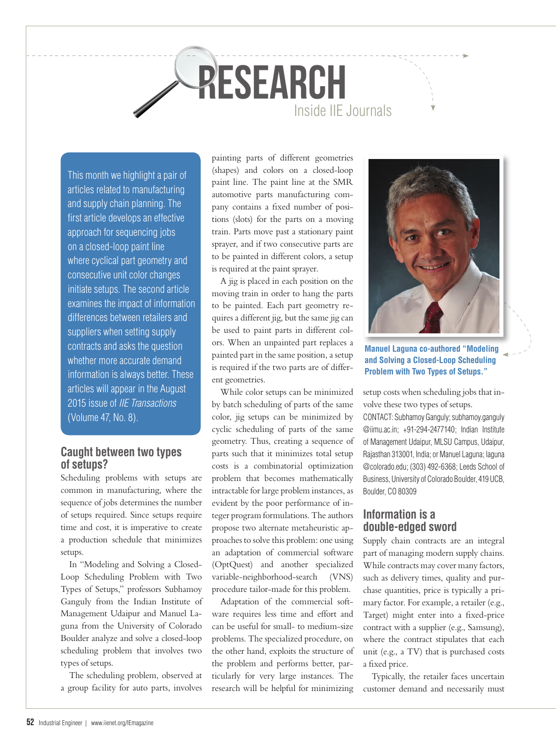# Inside IIE Journals **research**

This month we highlight a pair of articles related to manufacturing and supply chain planning. The first article develops an effective approach for sequencing jobs on a closed-loop paint line where cyclical part geometry and consecutive unit color changes initiate setups. The second article examines the impact of information differences between retailers and suppliers when setting supply contracts and asks the question whether more accurate demand information is always better. These articles will appear in the August 2015 issue of *IIE Transactions*  (Volume 47, No. 8).

# **Caught between two types of setups?**

Scheduling problems with setups are common in manufacturing, where the sequence of jobs determines the number of setups required. Since setups require time and cost, it is imperative to create a production schedule that minimizes setups.

In "Modeling and Solving a Closed-Loop Scheduling Problem with Two Types of Setups," professors Subhamoy Ganguly from the Indian Institute of Management Udaipur and Manuel Laguna from the University of Colorado Boulder analyze and solve a closed-loop scheduling problem that involves two types of setups.

The scheduling problem, observed at a group facility for auto parts, involves painting parts of different geometries (shapes) and colors on a closed-loop paint line. The paint line at the SMR automotive parts manufacturing company contains a fixed number of positions (slots) for the parts on a moving train. Parts move past a stationary paint sprayer, and if two consecutive parts are to be painted in different colors, a setup is required at the paint sprayer.

A jig is placed in each position on the moving train in order to hang the parts to be painted. Each part geometry requires a different jig, but the same jig can be used to paint parts in different colors. When an unpainted part replaces a painted part in the same position, a setup is required if the two parts are of different geometries.

While color setups can be minimized by batch scheduling of parts of the same color, jig setups can be minimized by cyclic scheduling of parts of the same geometry. Thus, creating a sequence of parts such that it minimizes total setup costs is a combinatorial optimization problem that becomes mathematically intractable for large problem instances, as evident by the poor performance of integer program formulations. The authors propose two alternate metaheuristic approaches to solve this problem: one using an adaptation of commercial software (OptQuest) and another specialized variable-neighborhood-search (VNS) procedure tailor-made for this problem.

Adaptation of the commercial software requires less time and effort and can be useful for small- to medium-size problems. The specialized procedure, on the other hand, exploits the structure of the problem and performs better, particularly for very large instances. The research will be helpful for minimizing



**Manuel Laguna co-authored "Modeling and Solving a Closed-Loop Scheduling Problem with Two Types of Setups."**

setup costs when scheduling jobs that involve these two types of setups.

CONTACT: Subhamoy Ganguly; subhamoy.ganguly @iimu.ac.in; +91-294-2477140; Indian Institute of Management Udaipur, MLSU Campus, Udaipur, Rajasthan 313001, India; or Manuel Laguna; laguna @colorado.edu; (303) 492-6368; Leeds School of Business, University of Colorado Boulder, 419 UCB, Boulder, CO 80309

# **Information is a double-edged sword**

Supply chain contracts are an integral part of managing modern supply chains. While contracts may cover many factors, such as delivery times, quality and purchase quantities, price is typically a primary factor. For example, a retailer (e.g., Target) might enter into a fixed-price contract with a supplier (e.g., Samsung), where the contract stipulates that each unit (e.g., a TV) that is purchased costs a fixed price.

Typically, the retailer faces uncertain customer demand and necessarily must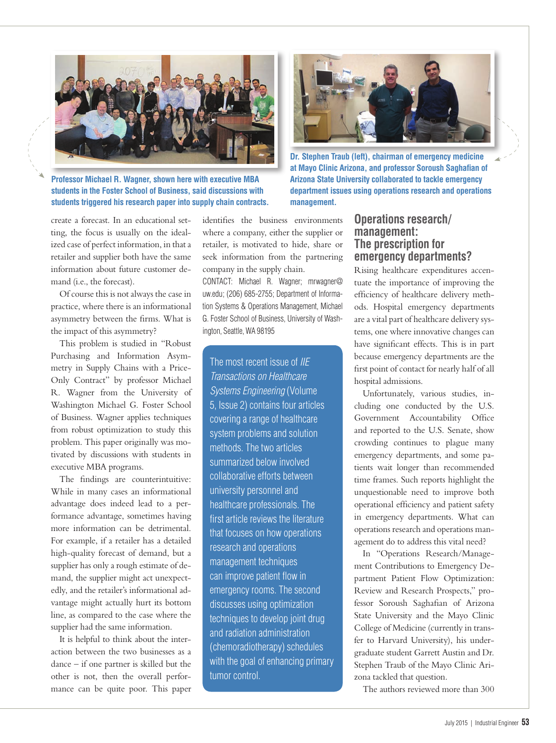

**Professor Michael R. Wagner, shown here with executive MBA students in the Foster School of Business, said discussions with students triggered his research paper into supply chain contracts.**

create a forecast. In an educational setting, the focus is usually on the idealized case of perfect information, in that a retailer and supplier both have the same information about future customer demand (i.e., the forecast).

Of course this is not always the case in practice, where there is an informational asymmetry between the firms. What is the impact of this asymmetry?

This problem is studied in "Robust Purchasing and Information Asymmetry in Supply Chains with a Price-Only Contract" by professor Michael R. Wagner from the University of Washington Michael G. Foster School of Business. Wagner applies techniques from robust optimization to study this problem. This paper originally was motivated by discussions with students in executive MBA programs.

The findings are counterintuitive: While in many cases an informational advantage does indeed lead to a performance advantage, sometimes having more information can be detrimental. For example, if a retailer has a detailed high-quality forecast of demand, but a supplier has only a rough estimate of demand, the supplier might act unexpectedly, and the retailer's informational advantage might actually hurt its bottom line, as compared to the case where the supplier had the same information.

It is helpful to think about the interaction between the two businesses as a dance – if one partner is skilled but the other is not, then the overall performance can be quite poor. This paper identifies the business environments where a company, either the supplier or retailer, is motivated to hide, share or seek information from the partnering company in the supply chain.

CONTACT: Michael R. Wagner; mrwagner@ uw.edu; (206) 685-2755; Department of Information Systems & Operations Management, Michael G. Foster School of Business, University of Washington, Seattle, WA 98195

The most recent issue of *IIE Transactions on Healthcare Systems Engineering* (Volume 5, Issue 2) contains four articles covering a range of healthcare system problems and solution methods. The two articles summarized below involved collaborative efforts between university personnel and healthcare professionals. The first article reviews the literature that focuses on how operations research and operations management techniques can improve patient flow in emergency rooms. The second discusses using optimization techniques to develop joint drug and radiation administration (chemoradiotherapy) schedules with the goal of enhancing primary tumor control.



**Dr. Stephen Traub (left), chairman of emergency medicine at Mayo Clinic Arizona, and professor Soroush Saghafian of Arizona State University collaborated to tackle emergency department issues using operations research and operations management.**

### **Operations research/ management: The prescription for emergency departments?**

Rising healthcare expenditures accentuate the importance of improving the efficiency of healthcare delivery methods. Hospital emergency departments are a vital part of healthcare delivery systems, one where innovative changes can have significant effects. This is in part because emergency departments are the first point of contact for nearly half of all hospital admissions.

Unfortunately, various studies, including one conducted by the U.S. Government Accountability Office and reported to the U.S. Senate, show crowding continues to plague many emergency departments, and some patients wait longer than recommended time frames. Such reports highlight the unquestionable need to improve both operational efficiency and patient safety in emergency departments. What can operations research and operations management do to address this vital need?

In "Operations Research/Management Contributions to Emergency Department Patient Flow Optimization: Review and Research Prospects," professor Soroush Saghafian of Arizona State University and the Mayo Clinic College of Medicine (currently in transfer to Harvard University), his undergraduate student Garrett Austin and Dr. Stephen Traub of the Mayo Clinic Arizona tackled that question.

The authors reviewed more than 300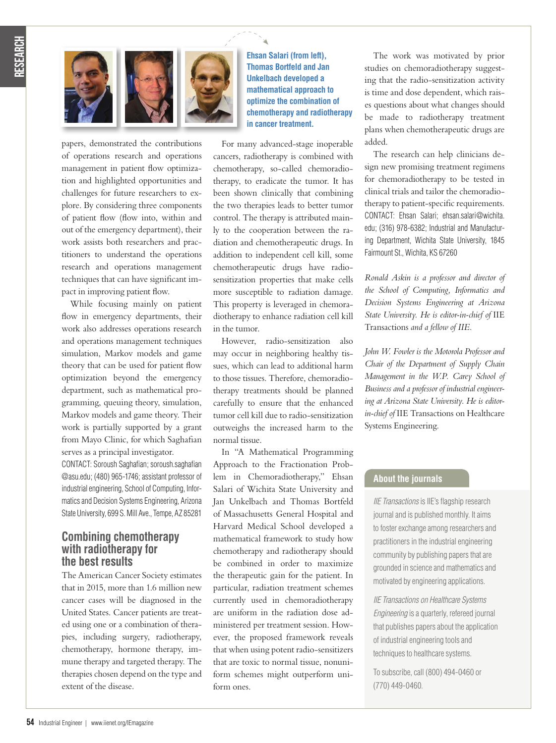

papers, demonstrated the contributions of operations research and operations management in patient flow optimization and highlighted opportunities and challenges for future researchers to explore. By considering three components of patient flow (flow into, within and out of the emergency department), their work assists both researchers and practitioners to understand the operations research and operations management techniques that can have significant impact in improving patient flow.

While focusing mainly on patient flow in emergency departments, their work also addresses operations research and operations management techniques simulation, Markov models and game theory that can be used for patient flow optimization beyond the emergency department, such as mathematical programming, queuing theory, simulation, Markov models and game theory. Their work is partially supported by a grant from Mayo Clinic, for which Saghafian serves as a principal investigator.

CONTACT: Soroush Saghafian; soroush.saghafian @asu.edu; (480) 965-1746; assistant professor of industrial engineering, School of Computing, Informatics and Decision Systems Engineering, Arizona State University, 699 S. Mill Ave., Tempe, AZ 85281

#### **Combining chemotherapy with radiotherapy for the best results**

The American Cancer Society estimates that in 2015, more than 1.6 million new cancer cases will be diagnosed in the United States. Cancer patients are treated using one or a combination of therapies, including surgery, radiotherapy, chemotherapy, hormone therapy, immune therapy and targeted therapy. The therapies chosen depend on the type and extent of the disease.

**Ehsan Salari (from left), Thomas Bortfeld and Jan Unkelbach developed a mathematical approach to optimize the combination of chemotherapy and radiotherapy in cancer treatment.**

For many advanced-stage inoperable cancers, radiotherapy is combined with chemotherapy, so-called chemoradiotherapy, to eradicate the tumor. It has been shown clinically that combining the two therapies leads to better tumor control. The therapy is attributed mainly to the cooperation between the radiation and chemotherapeutic drugs. In addition to independent cell kill, some chemotherapeutic drugs have radiosensitization properties that make cells more susceptible to radiation damage. This property is leveraged in chemoradiotherapy to enhance radiation cell kill in the tumor.

However, radio-sensitization also may occur in neighboring healthy tissues, which can lead to additional harm to those tissues. Therefore, chemoradiotherapy treatments should be planned carefully to ensure that the enhanced tumor cell kill due to radio-sensitization outweighs the increased harm to the normal tissue.

In "A Mathematical Programming Approach to the Fractionation Problem in Chemoradiotherapy," Ehsan Salari of Wichita State University and Jan Unkelbach and Thomas Bortfeld of Massachusetts General Hospital and Harvard Medical School developed a mathematical framework to study how chemotherapy and radiotherapy should be combined in order to maximize the therapeutic gain for the patient. In particular, radiation treatment schemes currently used in chemoradiotherapy are uniform in the radiation dose administered per treatment session. However, the proposed framework reveals that when using potent radio-sensitizers that are toxic to normal tissue, nonuniform schemes might outperform uniform ones.

The work was motivated by prior studies on chemoradiotherapy suggesting that the radio-sensitization activity is time and dose dependent, which raises questions about what changes should be made to radiotherapy treatment plans when chemotherapeutic drugs are added.

The research can help clinicians design new promising treatment regimens for chemoradiotherapy to be tested in clinical trials and tailor the chemoradiotherapy to patient-specific requirements. CONTACT: Ehsan Salari; ehsan.salari@wichita. edu; (316) 978-6382; Industrial and Manufacturing Department, Wichita State University, 1845 Fairmount St., Wichita, KS 67260

*Ronald Askin is a professor and director of the School of Computing, Informatics and Decision Systems Engineering at Arizona State University. He is editor-in-chief of* IIE Transactions *and a fellow of IIE.*

*John W. Fowler is the Motorola Professor and Chair of the Department of Supply Chain Management in the W.P. Carey School of Business and a professor of industrial engineering at Arizona State University. He is editorin-chief of* IIE Transactions on Healthcare Systems Engineering*.*

#### **About the journals**

*IIE Transactions* is IIE's flagship research journal and is published monthly. It aims to foster exchange among researchers and practitioners in the industrial engineering community by publishing papers that are grounded in science and mathematics and motivated by engineering applications.

*IIE Transactions on Healthcare Systems Engineering* is a quarterly, refereed journal that publishes papers about the application of industrial engineering tools and techniques to healthcare systems.

To subscribe, call (800) 494-0460 or (770) 449-0460.